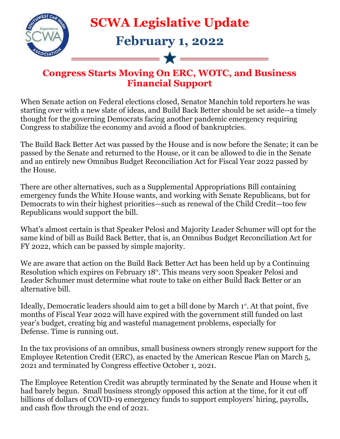

## **SCWA Legislative Update**

## **February 1, 2022**

## **Congress Starts Moving On ERC, WOTC, and Business Financial Support**

 $\rightarrow \star$   $\rightarrow$ 

When Senate action on Federal elections closed, Senator Manchin told reporters he was starting over with a new slate of ideas, and Build Back Better should be set aside--a timely thought for the governing Democrats facing another pandemic emergency requiring Congress to stabilize the economy and avoid a flood of bankruptcies.

The Build Back Better Act was passed by the House and is now before the Senate; it can be passed by the Senate and returned to the House, or it can be allowed to die in the Senate and an entirely new Omnibus Budget Reconciliation Act for Fiscal Year 2022 passed by the House.

There are other alternatives, such as a Supplemental Appropriations Bill containing emergency funds the White House wants, and working with Senate Republicans, but for Democrats to win their highest priorities—such as renewal of the Child Credit—too few Republicans would support the bill.

What's almost certain is that Speaker Pelosi and Majority Leader Schumer will opt for the same kind of bill as Build Back Better, that is, an Omnibus Budget Reconciliation Act for FY 2022, which can be passed by simple majority.

We are aware that action on the Build Back Better Act has been held up by a Continuing Resolution which expires on February 18<sup>th</sup>. This means very soon Speaker Pelosi and Leader Schumer must determine what route to take on either Build Back Better or an alternative bill.

Ideally, Democratic leaders should aim to get a bill done by March 1st. At that point, five months of Fiscal Year 2022 will have expired with the government still funded on last year's budget, creating big and wasteful management problems, especially for Defense. Time is running out.

In the tax provisions of an omnibus, small business owners strongly renew support for the Employee Retention Credit (ERC), as enacted by the American Rescue Plan on March 5, 2021 and terminated by Congress effective October 1, 2021.

The Employee Retention Credit was abruptly terminated by the Senate and House when it had barely begun. Small business strongly opposed this action at the time, for it cut off billions of dollars of COVID-19 emergency funds to support employers' hiring, payrolls, and cash flow through the end of 2021.